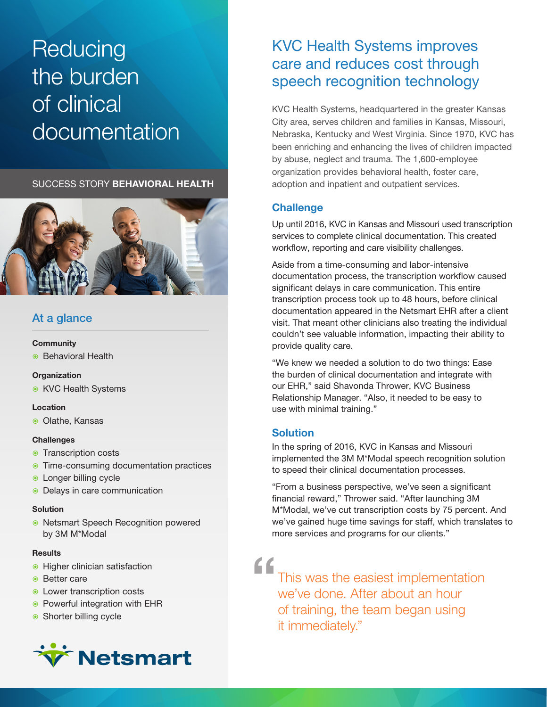# **Reducing** the burden of clinical documentation

SUCCESS STORY BEHAVIORAL HEALTH



### At a glance

### **Community**

**Behavioral Health** 

### **Organization**

**KVC Health Systems** 

### Location

Olathe, Kansas

### **Challenges**

- **Transcription costs**
- **Time-consuming documentation practices**
- **C** Longer billing cycle
- Delays in care communication

### **Solution**

**• Netsmart Speech Recognition powered** by 3M M\*Modal

#### **Results**

- **Higher clinician satisfaction**
- Better care
- **E** Lower transcription costs
- **Powerful integration with EHR**
- Shorter billing cycle



## KVC Health Systems improves care and reduces cost through speech recognition technology

KVC Health Systems, headquartered in the greater Kansas City area, serves children and families in Kansas, Missouri, Nebraska, Kentucky and West Virginia. Since 1970, KVC has been enriching and enhancing the lives of children impacted by abuse, neglect and trauma. The 1,600-employee organization provides behavioral health, foster care, adoption and inpatient and outpatient services.

### **Challenge**

Up until 2016, KVC in Kansas and Missouri used transcription services to complete clinical documentation. This created workflow, reporting and care visibility challenges.

Aside from a time-consuming and labor-intensive documentation process, the transcription workflow caused significant delays in care communication. This entire transcription process took up to 48 hours, before clinical documentation appeared in the Netsmart EHR after a client visit. That meant other clinicians also treating the individual couldn't see valuable information, impacting their ability to provide quality care.

"We knew we needed a solution to do two things: Ease the burden of clinical documentation and integrate with our EHR," said Shavonda Thrower, KVC Business Relationship Manager. "Also, it needed to be easy to use with minimal training."

### **Solution**

In the spring of 2016, KVC in Kansas and Missouri implemented the 3M M\*Modal speech recognition solution to speed their clinical documentation processes.

"From a business perspective, we've seen a significant financial reward," Thrower said. "After launching 3M M\*Modal, we've cut transcription costs by 75 percent. And we've gained huge time savings for staff, which translates to more services and programs for our clients."

This was the easiest implementation we've done. After about an hour of training, the team began using it immediately." "